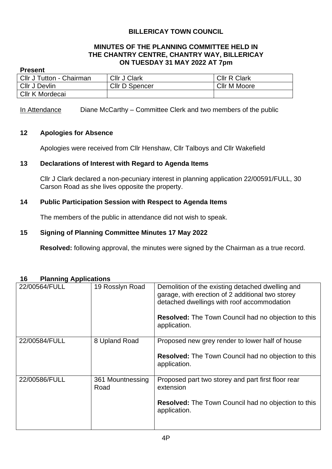## **BILLERICAY TOWN COUNCIL**

## **MINUTES OF THE PLANNING COMMITTEE HELD IN THE CHANTRY CENTRE, CHANTRY WAY, BILLERICAY ON TUESDAY 31 MAY 2022 AT 7pm**

### **Present**

| Cllr J Tutton - Chairman | <b>Cllr J Clark</b>   | <b>CIIr R Clark</b> |
|--------------------------|-----------------------|---------------------|
| Cllr J Devlin            | <b>Cllr D Spencer</b> | Cllr M Moore        |
| Cllr K Mordecai          |                       |                     |

In Attendance Diane McCarthy – Committee Clerk and two members of the public

### **12 Apologies for Absence**

Apologies were received from Cllr Henshaw, Cllr Talboys and Cllr Wakefield

## **13 Declarations of Interest with Regard to Agenda Items**

Cllr J Clark declared a non-pecuniary interest in planning application 22/00591/FULL, 30 Carson Road as she lives opposite the property.

## **14 Public Participation Session with Respect to Agenda Items**

The members of the public in attendance did not wish to speak.

### **15 Signing of Planning Committee Minutes 17 May 2022**

**Resolved:** following approval, the minutes were signed by the Chairman as a true record.

| טווטווען האטווישו ו |                          |                                                                                                                                                                                                                                  |
|---------------------|--------------------------|----------------------------------------------------------------------------------------------------------------------------------------------------------------------------------------------------------------------------------|
| 22/00564/FULL       | 19 Rosslyn Road          | Demolition of the existing detached dwelling and<br>garage, with erection of 2 additional two storey<br>detached dwellings with roof accommodation<br><b>Resolved:</b> The Town Council had no objection to this<br>application. |
| 22/00584/FULL       | 8 Upland Road            | Proposed new grey render to lower half of house<br><b>Resolved:</b> The Town Council had no objection to this<br>application.                                                                                                    |
| 22/00586/FULL       | 361 Mountnessing<br>Road | Proposed part two storey and part first floor rear<br>extension<br><b>Resolved:</b> The Town Council had no objection to this<br>application.                                                                                    |

#### **16 Planning Applications**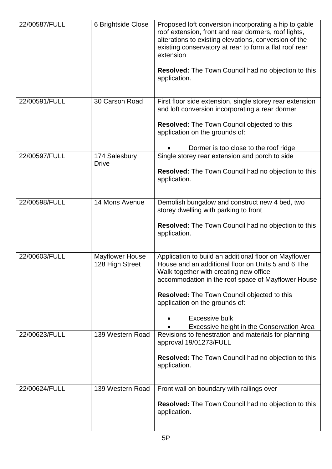| 22/00587/FULL | 6 Brightside Close                        | Proposed loft conversion incorporating a hip to gable<br>roof extension, front and rear dormers, roof lights,<br>alterations to existing elevations, conversion of the<br>existing conservatory at rear to form a flat roof rear<br>extension<br><b>Resolved:</b> The Town Council had no objection to this<br>application.                                               |
|---------------|-------------------------------------------|---------------------------------------------------------------------------------------------------------------------------------------------------------------------------------------------------------------------------------------------------------------------------------------------------------------------------------------------------------------------------|
| 22/00591/FULL | 30 Carson Road                            | First floor side extension, single storey rear extension<br>and loft conversion incorporating a rear dormer<br><b>Resolved:</b> The Town Council objected to this<br>application on the grounds of:<br>Dormer is too close to the roof ridge                                                                                                                              |
| 22/00597/FULL | 174 Salesbury<br><b>Drive</b>             | Single storey rear extension and porch to side<br><b>Resolved:</b> The Town Council had no objection to this<br>application.                                                                                                                                                                                                                                              |
| 22/00598/FULL | 14 Mons Avenue                            | Demolish bungalow and construct new 4 bed, two<br>storey dwelling with parking to front<br><b>Resolved:</b> The Town Council had no objection to this<br>application.                                                                                                                                                                                                     |
| 22/00603/FULL | <b>Mayflower House</b><br>128 High Street | Application to build an additional floor on Mayflower<br>House and an additional floor on Units 5 and 6 The<br>Walk together with creating new office<br>accommodation in the roof space of Mayflower House<br><b>Resolved:</b> The Town Council objected to this<br>application on the grounds of:<br><b>Excessive bulk</b><br>Excessive height in the Conservation Area |
| 22/00623/FULL | 139 Western Road                          | Revisions to fenestration and materials for planning<br>approval 19/01273/FULL<br><b>Resolved:</b> The Town Council had no objection to this<br>application.                                                                                                                                                                                                              |
| 22/00624/FULL | 139 Western Road                          | Front wall on boundary with railings over<br><b>Resolved:</b> The Town Council had no objection to this<br>application.                                                                                                                                                                                                                                                   |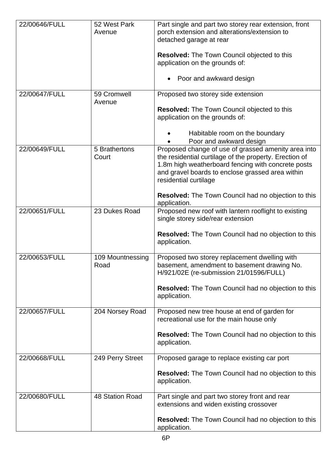| 22/00646/FULL | 52 West Park<br>Avenue   | Part single and part two storey rear extension, front<br>porch extension and alterations/extension to<br>detached garage at rear<br><b>Resolved:</b> The Town Council objected to this<br>application on the grounds of:<br>Poor and awkward design                                                                            |
|---------------|--------------------------|--------------------------------------------------------------------------------------------------------------------------------------------------------------------------------------------------------------------------------------------------------------------------------------------------------------------------------|
| 22/00647/FULL | 59 Cromwell<br>Avenue    | Proposed two storey side extension<br><b>Resolved:</b> The Town Council objected to this<br>application on the grounds of:<br>Habitable room on the boundary<br>Poor and awkward design                                                                                                                                        |
| 22/00649/FULL | 5 Brathertons<br>Court   | Proposed change of use of grassed amenity area into<br>the residential curtilage of the property. Erection of<br>1.8m high weatherboard fencing with concrete posts<br>and gravel boards to enclose grassed area within<br>residential curtilage<br><b>Resolved:</b> The Town Council had no objection to this<br>application. |
| 22/00651/FULL | 23 Dukes Road            | Proposed new roof with lantern rooflight to existing<br>single storey side/rear extension<br><b>Resolved:</b> The Town Council had no objection to this<br>application.                                                                                                                                                        |
| 22/00653/FULL | 109 Mountnessing<br>Road | Proposed two storey replacement dwelling with<br>basement, amendment to basement drawing No.<br>H/921/02E (re-submission 21/01596/FULL)<br><b>Resolved:</b> The Town Council had no objection to this<br>application.                                                                                                          |
| 22/00657/FULL | 204 Norsey Road          | Proposed new tree house at end of garden for<br>recreational use for the main house only<br><b>Resolved:</b> The Town Council had no objection to this<br>application.                                                                                                                                                         |
| 22/00668/FULL | 249 Perry Street         | Proposed garage to replace existing car port<br><b>Resolved:</b> The Town Council had no objection to this<br>application.                                                                                                                                                                                                     |
| 22/00680/FULL | 48 Station Road          | Part single and part two storey front and rear<br>extensions and widen existing crossover<br><b>Resolved:</b> The Town Council had no objection to this<br>application.                                                                                                                                                        |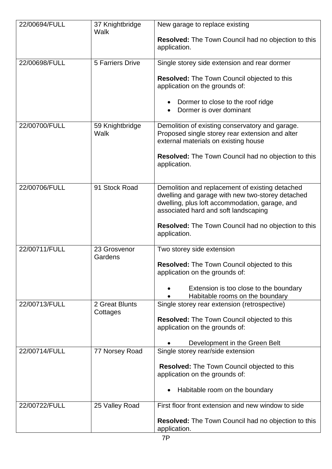| 22/00694/FULL | 37 Knightbridge<br>Walk | New garage to replace existing<br><b>Resolved:</b> The Town Council had no objection to this                                                                                                  |
|---------------|-------------------------|-----------------------------------------------------------------------------------------------------------------------------------------------------------------------------------------------|
|               |                         | application.                                                                                                                                                                                  |
| 22/00698/FULL | 5 Farriers Drive        | Single storey side extension and rear dormer                                                                                                                                                  |
|               |                         | <b>Resolved:</b> The Town Council objected to this<br>application on the grounds of:                                                                                                          |
|               |                         | Dormer to close to the roof ridge<br>Dormer is over dominant                                                                                                                                  |
| 22/00700/FULL | 59 Knightbridge<br>Walk | Demolition of existing conservatory and garage.<br>Proposed single storey rear extension and alter<br>external materials on existing house                                                    |
|               |                         | <b>Resolved:</b> The Town Council had no objection to this<br>application.                                                                                                                    |
| 22/00706/FULL | 91 Stock Road           | Demolition and replacement of existing detached<br>dwelling and garage with new two-storey detached<br>dwelling, plus loft accommodation, garage, and<br>associated hard and soft landscaping |
|               |                         | <b>Resolved:</b> The Town Council had no objection to this<br>application.                                                                                                                    |
| 22/00711/FULL | 23 Grosvenor<br>Gardens | Two storey side extension                                                                                                                                                                     |
|               |                         | <b>Resolved:</b> The Town Council objected to this<br>application on the grounds of:                                                                                                          |
|               |                         | Extension is too close to the boundary<br>Habitable rooms on the boundary                                                                                                                     |
| 22/00713/FULL | 2 Great Blunts          | Single storey rear extension (retrospective)                                                                                                                                                  |
|               | Cottages                | <b>Resolved:</b> The Town Council objected to this<br>application on the grounds of:                                                                                                          |
|               |                         | Development in the Green Belt                                                                                                                                                                 |
| 22/00714/FULL | 77 Norsey Road          | Single storey rear/side extension                                                                                                                                                             |
|               |                         | <b>Resolved:</b> The Town Council objected to this<br>application on the grounds of:                                                                                                          |
|               |                         | Habitable room on the boundary<br>$\bullet$                                                                                                                                                   |
| 22/00722/FULL | 25 Valley Road          | First floor front extension and new window to side                                                                                                                                            |
|               |                         | <b>Resolved:</b> The Town Council had no objection to this<br>application.                                                                                                                    |